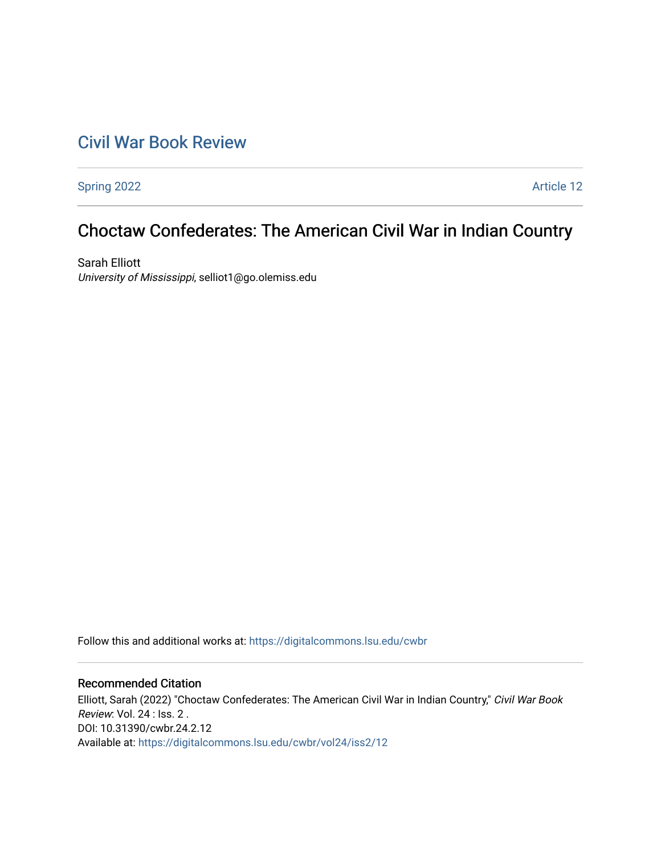# [Civil War Book Review](https://digitalcommons.lsu.edu/cwbr)

[Spring 2022](https://digitalcommons.lsu.edu/cwbr/vol24/iss2) **Article 12** 

# Choctaw Confederates: The American Civil War in Indian Country

Sarah Elliott University of Mississippi, selliot1@go.olemiss.edu

Follow this and additional works at: [https://digitalcommons.lsu.edu/cwbr](https://digitalcommons.lsu.edu/cwbr?utm_source=digitalcommons.lsu.edu%2Fcwbr%2Fvol24%2Fiss2%2F12&utm_medium=PDF&utm_campaign=PDFCoverPages) 

#### Recommended Citation

Elliott, Sarah (2022) "Choctaw Confederates: The American Civil War in Indian Country," Civil War Book Review: Vol. 24 : Iss. 2 . DOI: 10.31390/cwbr.24.2.12 Available at: [https://digitalcommons.lsu.edu/cwbr/vol24/iss2/12](https://digitalcommons.lsu.edu/cwbr/vol24/iss2/12?utm_source=digitalcommons.lsu.edu%2Fcwbr%2Fvol24%2Fiss2%2F12&utm_medium=PDF&utm_campaign=PDFCoverPages)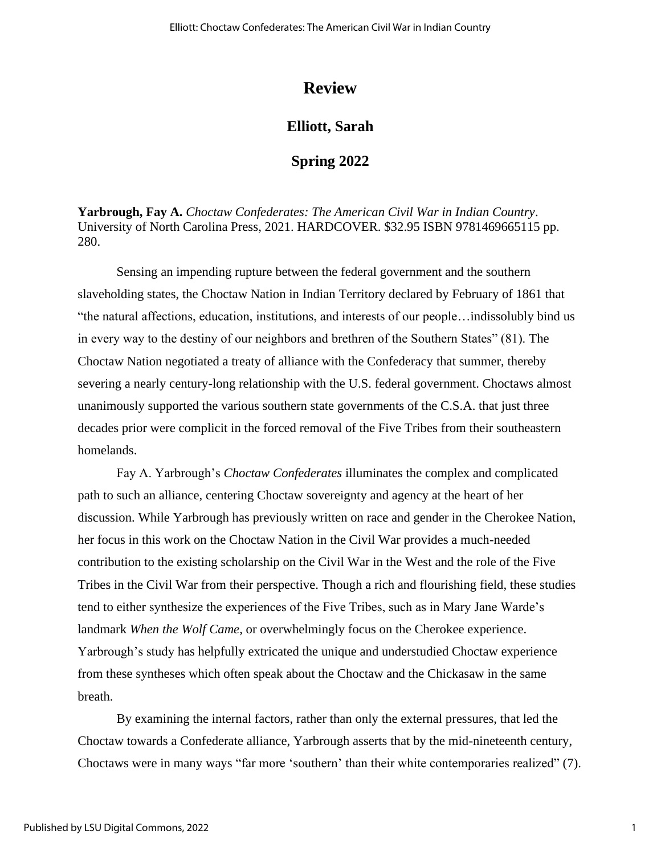## **Review**

### **Elliott, Sarah**

### **Spring 2022**

**Yarbrough, Fay A.** *Choctaw Confederates: The American Civil War in Indian Country*. University of North Carolina Press, 2021. HARDCOVER. \$32.95 ISBN 9781469665115 pp. 280.

Sensing an impending rupture between the federal government and the southern slaveholding states, the Choctaw Nation in Indian Territory declared by February of 1861 that "the natural affections, education, institutions, and interests of our people…indissolubly bind us in every way to the destiny of our neighbors and brethren of the Southern States" (81). The Choctaw Nation negotiated a treaty of alliance with the Confederacy that summer, thereby severing a nearly century-long relationship with the U.S. federal government. Choctaws almost unanimously supported the various southern state governments of the C.S.A. that just three decades prior were complicit in the forced removal of the Five Tribes from their southeastern homelands.

Fay A. Yarbrough's *Choctaw Confederates* illuminates the complex and complicated path to such an alliance, centering Choctaw sovereignty and agency at the heart of her discussion. While Yarbrough has previously written on race and gender in the Cherokee Nation, her focus in this work on the Choctaw Nation in the Civil War provides a much-needed contribution to the existing scholarship on the Civil War in the West and the role of the Five Tribes in the Civil War from their perspective. Though a rich and flourishing field, these studies tend to either synthesize the experiences of the Five Tribes, such as in Mary Jane Warde's landmark *When the Wolf Came*, or overwhelmingly focus on the Cherokee experience. Yarbrough's study has helpfully extricated the unique and understudied Choctaw experience from these syntheses which often speak about the Choctaw and the Chickasaw in the same breath.

By examining the internal factors, rather than only the external pressures, that led the Choctaw towards a Confederate alliance, Yarbrough asserts that by the mid-nineteenth century, Choctaws were in many ways "far more 'southern' than their white contemporaries realized" (7).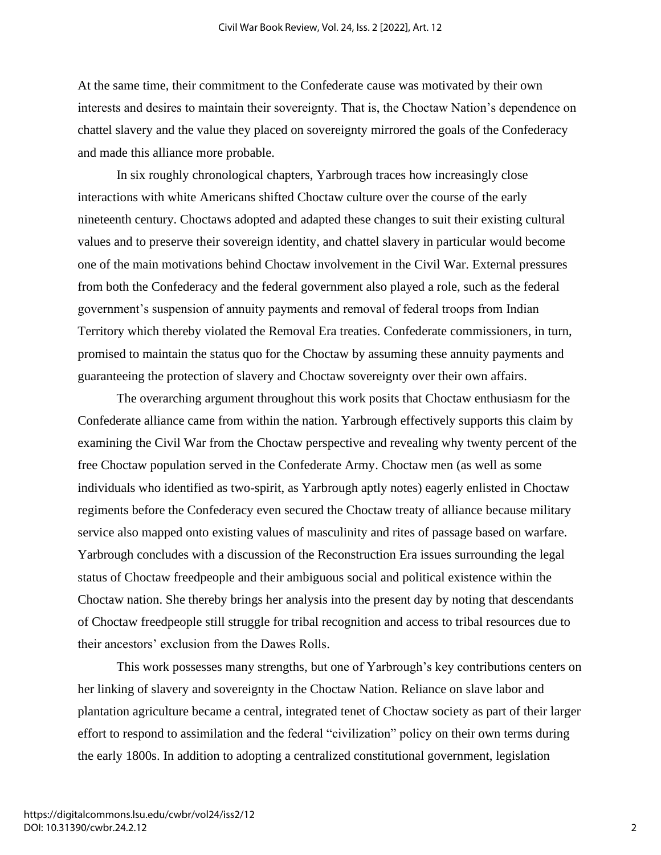At the same time, their commitment to the Confederate cause was motivated by their own interests and desires to maintain their sovereignty. That is, the Choctaw Nation's dependence on chattel slavery and the value they placed on sovereignty mirrored the goals of the Confederacy and made this alliance more probable.

In six roughly chronological chapters, Yarbrough traces how increasingly close interactions with white Americans shifted Choctaw culture over the course of the early nineteenth century. Choctaws adopted and adapted these changes to suit their existing cultural values and to preserve their sovereign identity, and chattel slavery in particular would become one of the main motivations behind Choctaw involvement in the Civil War. External pressures from both the Confederacy and the federal government also played a role, such as the federal government's suspension of annuity payments and removal of federal troops from Indian Territory which thereby violated the Removal Era treaties. Confederate commissioners, in turn, promised to maintain the status quo for the Choctaw by assuming these annuity payments and guaranteeing the protection of slavery and Choctaw sovereignty over their own affairs.

The overarching argument throughout this work posits that Choctaw enthusiasm for the Confederate alliance came from within the nation. Yarbrough effectively supports this claim by examining the Civil War from the Choctaw perspective and revealing why twenty percent of the free Choctaw population served in the Confederate Army. Choctaw men (as well as some individuals who identified as two-spirit, as Yarbrough aptly notes) eagerly enlisted in Choctaw regiments before the Confederacy even secured the Choctaw treaty of alliance because military service also mapped onto existing values of masculinity and rites of passage based on warfare. Yarbrough concludes with a discussion of the Reconstruction Era issues surrounding the legal status of Choctaw freedpeople and their ambiguous social and political existence within the Choctaw nation. She thereby brings her analysis into the present day by noting that descendants of Choctaw freedpeople still struggle for tribal recognition and access to tribal resources due to their ancestors' exclusion from the Dawes Rolls.

This work possesses many strengths, but one of Yarbrough's key contributions centers on her linking of slavery and sovereignty in the Choctaw Nation. Reliance on slave labor and plantation agriculture became a central, integrated tenet of Choctaw society as part of their larger effort to respond to assimilation and the federal "civilization" policy on their own terms during the early 1800s. In addition to adopting a centralized constitutional government, legislation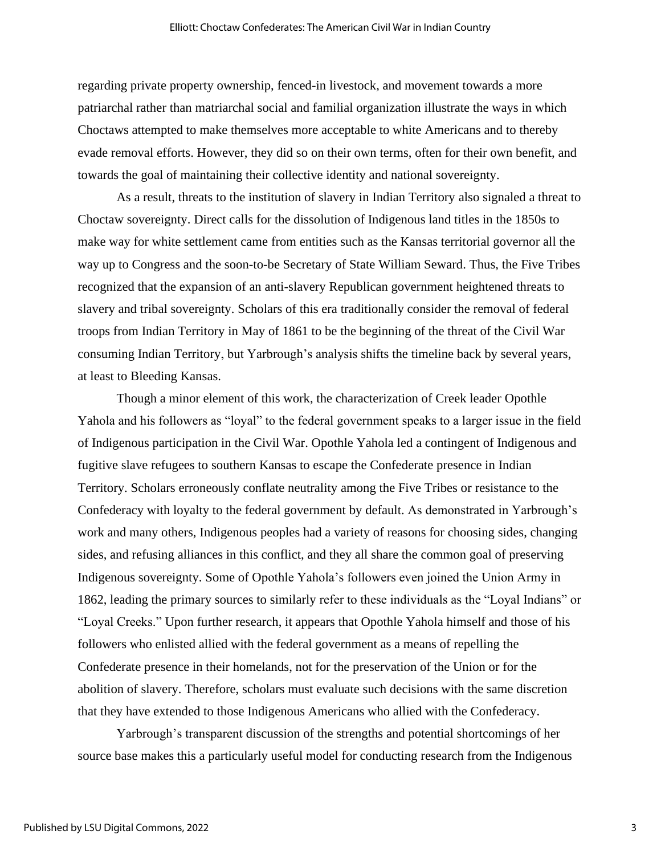regarding private property ownership, fenced-in livestock, and movement towards a more patriarchal rather than matriarchal social and familial organization illustrate the ways in which Choctaws attempted to make themselves more acceptable to white Americans and to thereby evade removal efforts. However, they did so on their own terms, often for their own benefit, and towards the goal of maintaining their collective identity and national sovereignty.

As a result, threats to the institution of slavery in Indian Territory also signaled a threat to Choctaw sovereignty. Direct calls for the dissolution of Indigenous land titles in the 1850s to make way for white settlement came from entities such as the Kansas territorial governor all the way up to Congress and the soon-to-be Secretary of State William Seward. Thus, the Five Tribes recognized that the expansion of an anti-slavery Republican government heightened threats to slavery and tribal sovereignty. Scholars of this era traditionally consider the removal of federal troops from Indian Territory in May of 1861 to be the beginning of the threat of the Civil War consuming Indian Territory, but Yarbrough's analysis shifts the timeline back by several years, at least to Bleeding Kansas.

Though a minor element of this work, the characterization of Creek leader Opothle Yahola and his followers as "loyal" to the federal government speaks to a larger issue in the field of Indigenous participation in the Civil War. Opothle Yahola led a contingent of Indigenous and fugitive slave refugees to southern Kansas to escape the Confederate presence in Indian Territory. Scholars erroneously conflate neutrality among the Five Tribes or resistance to the Confederacy with loyalty to the federal government by default. As demonstrated in Yarbrough's work and many others, Indigenous peoples had a variety of reasons for choosing sides, changing sides, and refusing alliances in this conflict, and they all share the common goal of preserving Indigenous sovereignty. Some of Opothle Yahola's followers even joined the Union Army in 1862, leading the primary sources to similarly refer to these individuals as the "Loyal Indians" or "Loyal Creeks." Upon further research, it appears that Opothle Yahola himself and those of his followers who enlisted allied with the federal government as a means of repelling the Confederate presence in their homelands, not for the preservation of the Union or for the abolition of slavery. Therefore, scholars must evaluate such decisions with the same discretion that they have extended to those Indigenous Americans who allied with the Confederacy.

Yarbrough's transparent discussion of the strengths and potential shortcomings of her source base makes this a particularly useful model for conducting research from the Indigenous